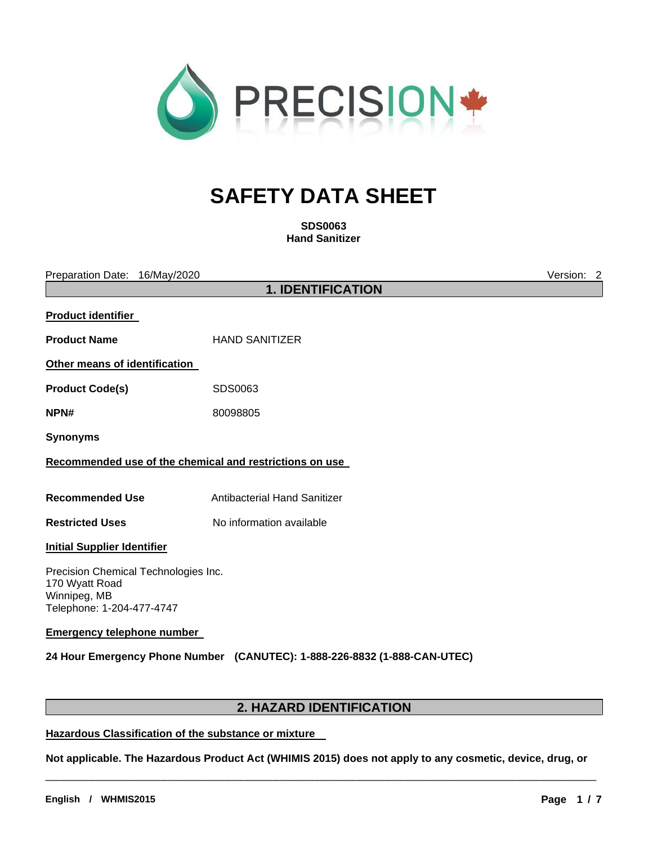

# **SAFETY DATA SHEET**

**SDS0063 Hand Sanitizer**

Preparation Date: 16/May/2020 Version: 2

**1. IDENTIFICATION** 

| <b>Product identifier</b>                                                                           |                                                                           |
|-----------------------------------------------------------------------------------------------------|---------------------------------------------------------------------------|
| <b>Product Name</b>                                                                                 | <b>HAND SANITIZER</b>                                                     |
| Other means of identification                                                                       |                                                                           |
| <b>Product Code(s)</b>                                                                              | SDS0063                                                                   |
| NPN#                                                                                                | 80098805                                                                  |
| <b>Synonyms</b>                                                                                     |                                                                           |
| Recommended use of the chemical and restrictions on use                                             |                                                                           |
| <b>Recommended Use</b>                                                                              | Antibacterial Hand Sanitizer                                              |
| <b>Restricted Uses</b>                                                                              | No information available                                                  |
| <b>Initial Supplier Identifier</b>                                                                  |                                                                           |
| Precision Chemical Technologies Inc.<br>170 Wyatt Road<br>Winnipeg, MB<br>Telephone: 1-204-477-4747 |                                                                           |
| <b>Emergency telephone number</b>                                                                   |                                                                           |
|                                                                                                     | 24 Hour Emergency Phone Number (CANUTEC): 1-888-226-8832 (1-888-CAN-UTEC) |

# **2. HAZARD IDENTIFICATION**

# **Hazardous Classification of the substance or mixture**

**Not applicable. The Hazardous Product Act (WHIMIS 2015) does not apply to any cosmetic, device, drug, or** 

\_\_\_\_\_\_\_\_\_\_\_\_\_\_\_\_\_\_\_\_\_\_\_\_\_\_\_\_\_\_\_\_\_\_\_\_\_\_\_\_\_\_\_\_\_\_\_\_\_\_\_\_\_\_\_\_\_\_\_\_\_\_\_\_\_\_\_\_\_\_\_\_\_\_\_\_\_\_\_\_\_\_\_\_\_\_\_\_\_\_\_\_\_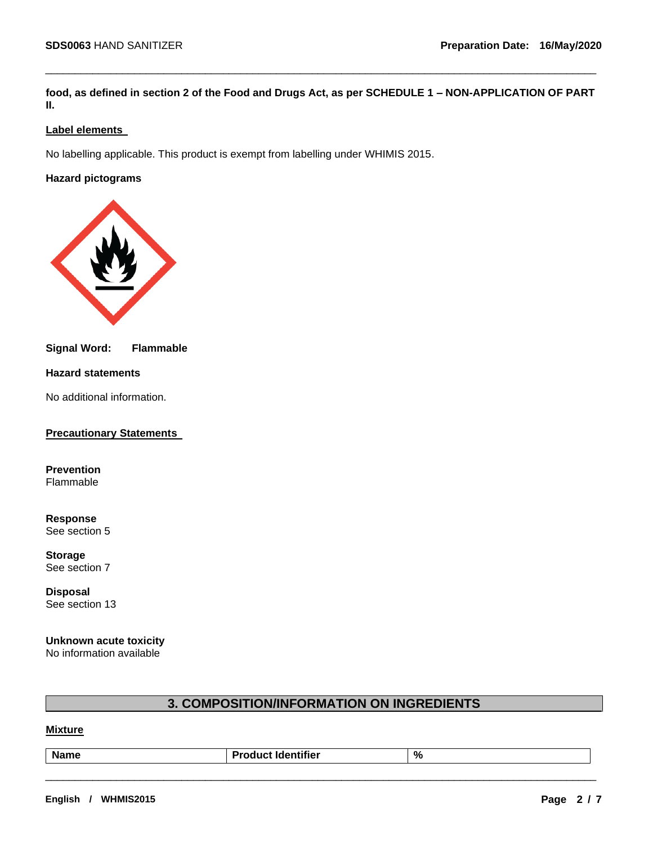**food, as defined in section 2 of the Food and Drugs Act, as per SCHEDULE 1 – NON-APPLICATION OF PART II.**

\_\_\_\_\_\_\_\_\_\_\_\_\_\_\_\_\_\_\_\_\_\_\_\_\_\_\_\_\_\_\_\_\_\_\_\_\_\_\_\_\_\_\_\_\_\_\_\_\_\_\_\_\_\_\_\_\_\_\_\_\_\_\_\_\_\_\_\_\_\_\_\_\_\_\_\_\_\_\_\_\_\_\_\_\_\_\_\_\_\_\_\_\_

# **Label elements**

No labelling applicable. This product is exempt from labelling under WHIMIS 2015.

# **Hazard pictograms**



## **Signal Word: Flammable**

## **Hazard statements**

No additional information.

## **Precautionary Statements**

**Prevention** Flammable

**Response** See section 5

**Storage** See section 7

**Disposal** See section 13

#### **Unknown acute toxicity**  No information available

# **3. COMPOSITION/INFORMATION ON INGREDIENTS**

# **Mixture**

| .<br>∍ام» ماد<br>we | ifier<br><b>Product</b> | % |
|---------------------|-------------------------|---|
|                     |                         |   |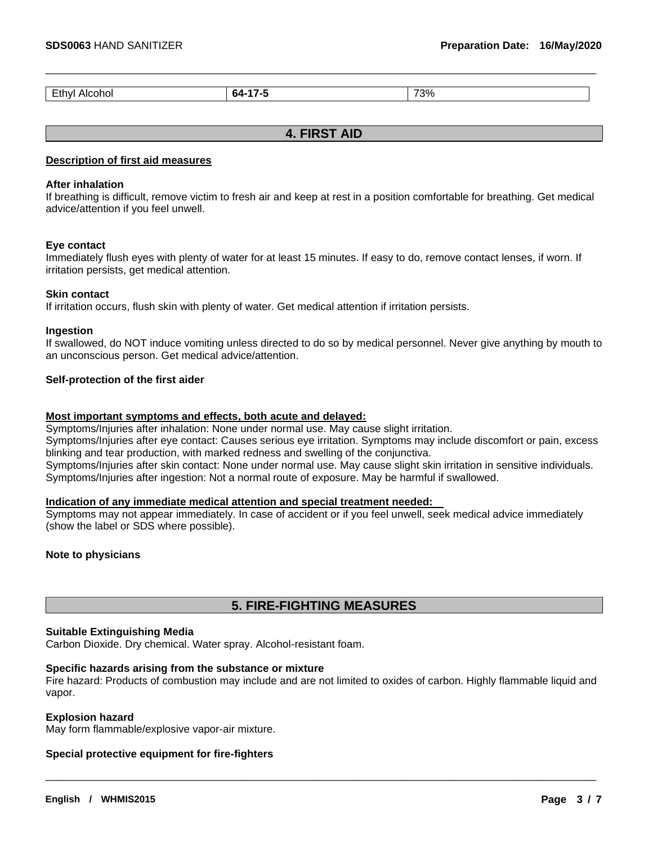|  | - - -<br>--<br>–unv'<br>_____ | . . | 73% |
|--|-------------------------------|-----|-----|
|--|-------------------------------|-----|-----|

\_\_\_\_\_\_\_\_\_\_\_\_\_\_\_\_\_\_\_\_\_\_\_\_\_\_\_\_\_\_\_\_\_\_\_\_\_\_\_\_\_\_\_\_\_\_\_\_\_\_\_\_\_\_\_\_\_\_\_\_\_\_\_\_\_\_\_\_\_\_\_\_\_\_\_\_\_\_\_\_\_\_\_\_\_\_\_\_\_\_\_\_\_

# **4. FIRST AID**

#### **Description of first aid measures**

#### **After inhalation**

If breathing is difficult, remove victim to fresh air and keep at rest in a position comfortable for breathing. Get medical advice/attention if you feel unwell.

#### **Eye contact**

Immediately flush eyes with plenty of water for at least 15 minutes. If easy to do, remove contact lenses, if worn. If irritation persists, get medical attention.

#### **Skin contact**

If irritation occurs, flush skin with plenty of water. Get medical attention if irritation persists.

#### **Ingestion**

If swallowed, do NOT induce vomiting unless directed to do so by medical personnel. Never give anything by mouth to an unconscious person. Get medical advice/attention.

#### **Self-protection of the first aider**

#### **Most important symptoms and effects, both acute and delayed:**

Symptoms/Injuries after inhalation: None under normal use. May cause slight irritation.

Symptoms/Injuries after eye contact: Causes serious eye irritation. Symptoms may include discomfort or pain, excess blinking and tear production, with marked redness and swelling of the conjunctiva.

Symptoms/Injuries after skin contact: None under normal use. May cause slight skin irritation in sensitive individuals. Symptoms/Injuries after ingestion: Not a normal route of exposure. May be harmful if swallowed.

## **Indication of any immediate medical attention and special treatment needed:**

Symptoms may not appear immediately. In case of accident or if you feel unwell, seek medical advice immediately (show the label or SDS where possible).

#### **Note to physicians**

# **5. FIRE-FIGHTING MEASURES**

#### **Suitable Extinguishing Media**

Carbon Dioxide. Dry chemical. Water spray. Alcohol-resistant foam.

#### **Specific hazards arising from the substance or mixture**

Fire hazard: Products of combustion may include and are not limited to oxides of carbon. Highly flammable liquid and vapor.

\_\_\_\_\_\_\_\_\_\_\_\_\_\_\_\_\_\_\_\_\_\_\_\_\_\_\_\_\_\_\_\_\_\_\_\_\_\_\_\_\_\_\_\_\_\_\_\_\_\_\_\_\_\_\_\_\_\_\_\_\_\_\_\_\_\_\_\_\_\_\_\_\_\_\_\_\_\_\_\_\_\_\_\_\_\_\_\_\_\_\_\_\_

#### **Explosion hazard**

May form flammable/explosive vapor-air mixture.

#### **Special protective equipment for fire-fighters**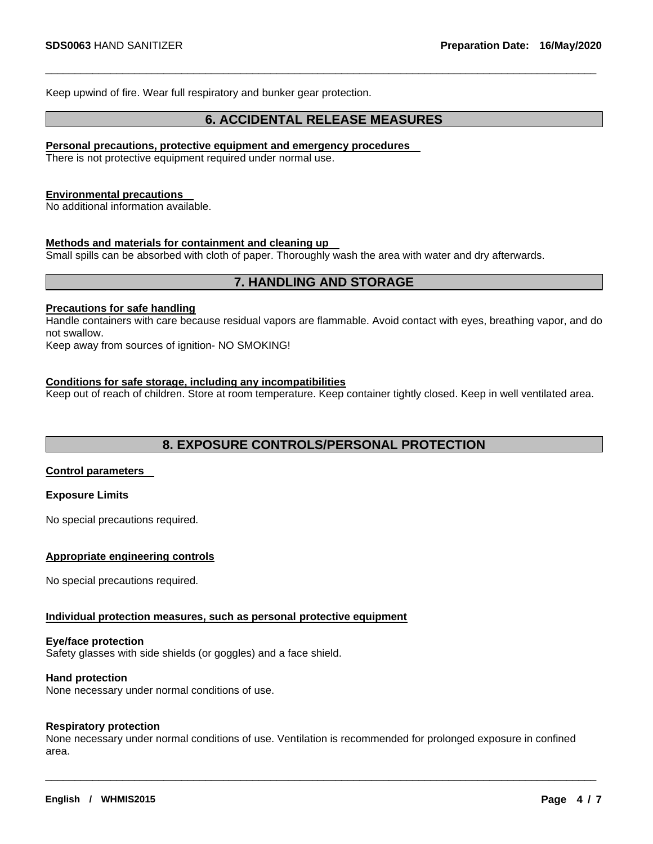Keep upwind of fire. Wear full respiratory and bunker gear protection.

# **6. ACCIDENTAL RELEASE MEASURES**

\_\_\_\_\_\_\_\_\_\_\_\_\_\_\_\_\_\_\_\_\_\_\_\_\_\_\_\_\_\_\_\_\_\_\_\_\_\_\_\_\_\_\_\_\_\_\_\_\_\_\_\_\_\_\_\_\_\_\_\_\_\_\_\_\_\_\_\_\_\_\_\_\_\_\_\_\_\_\_\_\_\_\_\_\_\_\_\_\_\_\_\_\_

#### **Personal precautions, protective equipment and emergency procedures**

There is not protective equipment required under normal use.

#### **Environmental precautions**

No additional information available.

#### **Methods and materials for containment and cleaning up**

Small spills can be absorbed with cloth of paper. Thoroughly wash the area with water and dry afterwards.

# **7. HANDLING AND STORAGE**

#### **Precautions for safe handling**

Handle containers with care because residual vapors are flammable. Avoid contact with eyes, breathing vapor, and do not swallow.

Keep away from sources of ignition- NO SMOKING!

#### **Conditions for safe storage, including any incompatibilities**

Keep out of reach of children. Store at room temperature. Keep container tightly closed. Keep in well ventilated area.

# **8. EXPOSURE CONTROLS/PERSONAL PROTECTION**

#### **Control parameters**

#### **Exposure Limits**

No special precautions required.

## **Appropriate engineering controls**

No special precautions required.

#### **Individual protection measures, such as personal protective equipment**

#### **Eye/face protection**

Safety glasses with side shields (or goggles) and a face shield.

#### **Hand protection**

None necessary under normal conditions of use.

#### **Respiratory protection**

None necessary under normal conditions of use. Ventilation is recommended for prolonged exposure in confined area.

\_\_\_\_\_\_\_\_\_\_\_\_\_\_\_\_\_\_\_\_\_\_\_\_\_\_\_\_\_\_\_\_\_\_\_\_\_\_\_\_\_\_\_\_\_\_\_\_\_\_\_\_\_\_\_\_\_\_\_\_\_\_\_\_\_\_\_\_\_\_\_\_\_\_\_\_\_\_\_\_\_\_\_\_\_\_\_\_\_\_\_\_\_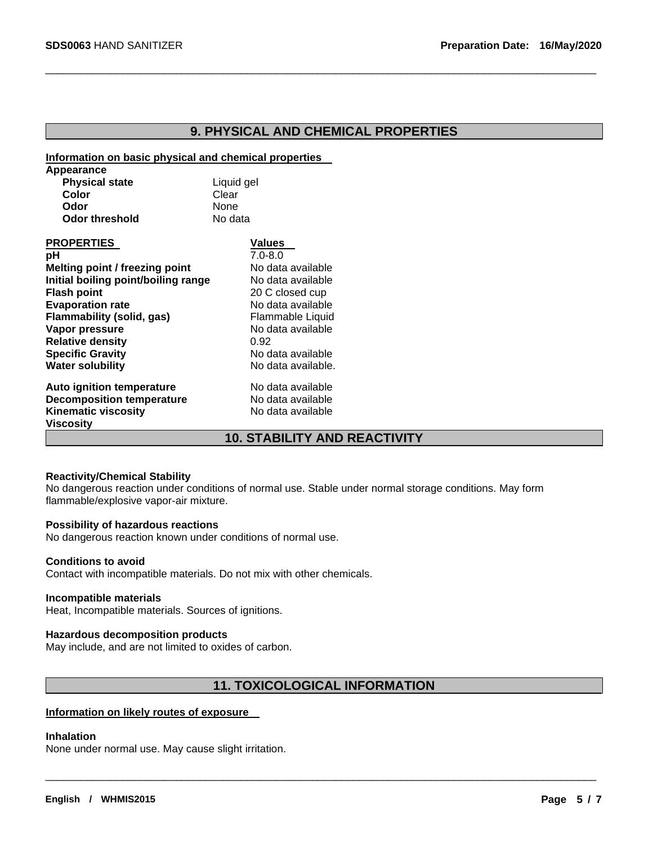# **9. PHYSICAL AND CHEMICAL PROPERTIES**

\_\_\_\_\_\_\_\_\_\_\_\_\_\_\_\_\_\_\_\_\_\_\_\_\_\_\_\_\_\_\_\_\_\_\_\_\_\_\_\_\_\_\_\_\_\_\_\_\_\_\_\_\_\_\_\_\_\_\_\_\_\_\_\_\_\_\_\_\_\_\_\_\_\_\_\_\_\_\_\_\_\_\_\_\_\_\_\_\_\_\_\_\_

#### **Information on basic physical and chemical properties**

| Appearance                          |                                     |
|-------------------------------------|-------------------------------------|
| <b>Physical state</b>               | Liquid gel                          |
| Color                               | Clear                               |
| Odor                                | None                                |
| <b>Odor threshold</b>               | No data                             |
| <b>PROPERTIES</b>                   | Values                              |
| рH                                  | $7.0 - 8.0$                         |
| Melting point / freezing point      | No data available                   |
| Initial boiling point/boiling range | No data available                   |
| <b>Flash point</b>                  | 20 C closed cup                     |
| <b>Evaporation rate</b>             | No data available                   |
| Flammability (solid, gas)           | Flammable Liquid                    |
| Vapor pressure                      | No data available                   |
| <b>Relative density</b>             | 0.92                                |
| <b>Specific Gravity</b>             | No data available                   |
| <b>Water solubility</b>             | No data available.                  |
| Auto ignition temperature           | No data available                   |
| <b>Decomposition temperature</b>    | No data available                   |
| <b>Kinematic viscosity</b>          | No data available                   |
| Viscosity                           |                                     |
|                                     | <b>10. STABILITY AND REACTIVITY</b> |

## **Reactivity/Chemical Stability**

No dangerous reaction under conditions of normal use. Stable under normal storage conditions. May form flammable/explosive vapor-air mixture.

#### **Possibility of hazardous reactions**

No dangerous reaction known under conditions of normal use.

#### **Conditions to avoid**

Contact with incompatible materials. Do not mix with other chemicals.

## **Incompatible materials**

Heat, Incompatible materials. Sources of ignitions.

## **Hazardous decomposition products**

May include, and are not limited to oxides of carbon.

# **11. TOXICOLOGICAL INFORMATION**

\_\_\_\_\_\_\_\_\_\_\_\_\_\_\_\_\_\_\_\_\_\_\_\_\_\_\_\_\_\_\_\_\_\_\_\_\_\_\_\_\_\_\_\_\_\_\_\_\_\_\_\_\_\_\_\_\_\_\_\_\_\_\_\_\_\_\_\_\_\_\_\_\_\_\_\_\_\_\_\_\_\_\_\_\_\_\_\_\_\_\_\_\_

## **Information on likely routes of exposure**

#### **Inhalation**

None under normal use. May cause slight irritation.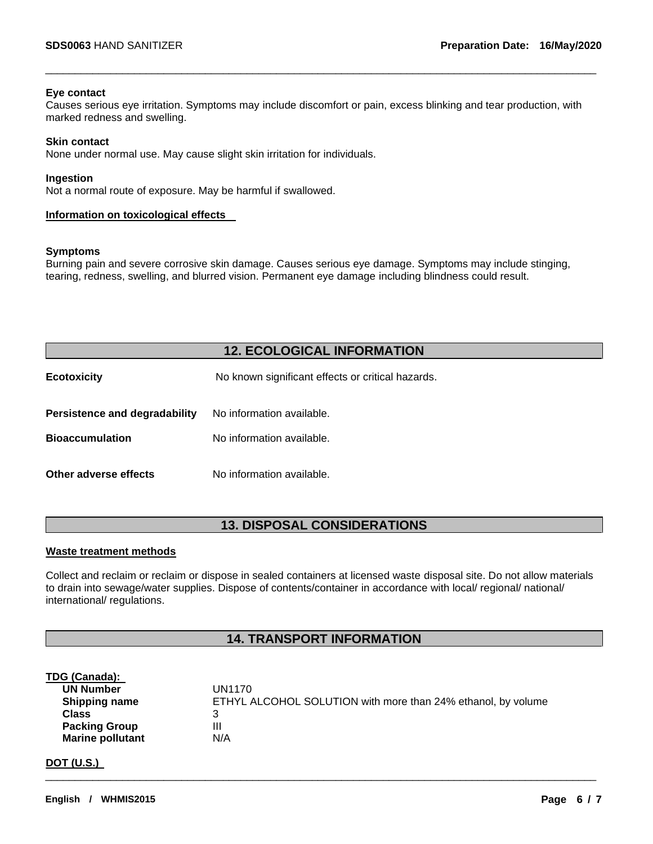#### **Eye contact**

Causes serious eye irritation. Symptoms may include discomfort or pain, excess blinking and tear production, with marked redness and swelling.

\_\_\_\_\_\_\_\_\_\_\_\_\_\_\_\_\_\_\_\_\_\_\_\_\_\_\_\_\_\_\_\_\_\_\_\_\_\_\_\_\_\_\_\_\_\_\_\_\_\_\_\_\_\_\_\_\_\_\_\_\_\_\_\_\_\_\_\_\_\_\_\_\_\_\_\_\_\_\_\_\_\_\_\_\_\_\_\_\_\_\_\_\_

#### **Skin contact**

None under normal use. May cause slight skin irritation for individuals.

#### **Ingestion**

Not a normal route of exposure. May be harmful if swallowed.

#### **Information on toxicological effects**

#### **Symptoms**

Burning pain and severe corrosive skin damage. Causes serious eye damage. Symptoms may include stinging, tearing, redness, swelling, and blurred vision. Permanent eye damage including blindness could result.

# **12. ECOLOGICAL INFORMATION**

| <b>Ecotoxicity</b>            | No known significant effects or critical hazards. |
|-------------------------------|---------------------------------------------------|
| Persistence and degradability | No information available.                         |
| <b>Bioaccumulation</b>        | No information available.                         |
| Other adverse effects         | No information available.                         |

# **13. DISPOSAL CONSIDERATIONS**

#### **Waste treatment methods**

Collect and reclaim or reclaim or dispose in sealed containers at licensed waste disposal site. Do not allow materials to drain into sewage/water supplies. Dispose of contents/container in accordance with local/ regional/ national/ international/ regulations.

# **14. TRANSPORT INFORMATION**

\_\_\_\_\_\_\_\_\_\_\_\_\_\_\_\_\_\_\_\_\_\_\_\_\_\_\_\_\_\_\_\_\_\_\_\_\_\_\_\_\_\_\_\_\_\_\_\_\_\_\_\_\_\_\_\_\_\_\_\_\_\_\_\_\_\_\_\_\_\_\_\_\_\_\_\_\_\_\_\_\_\_\_\_\_\_\_\_\_\_\_\_\_

#### **TDG (Canada):**

| <b>UN Number</b>        | UN1170                                                       |
|-------------------------|--------------------------------------------------------------|
| <b>Shipping name</b>    | ETHYL ALCOHOL SOLUTION with more than 24% ethanol, by volume |
| <b>Class</b>            |                                                              |
| <b>Packing Group</b>    | Ш                                                            |
| <b>Marine pollutant</b> | N/A                                                          |

## **DOT (U.S.)**